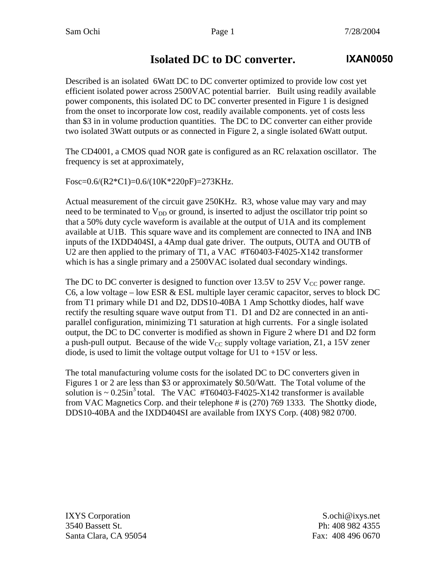## **Isolated DC to DC converter.**

Described is an isolated 6Watt DC to DC converter optimized to provide low cost yet efficient isolated power across 2500VAC potential barrier. Built using readily available power components, this isolated DC to DC converter presented in Figure 1 is designed from the onset to incorporate low cost, readily available components. yet of costs less than \$3 in in volume production quantities. The DC to DC converter can either provide two isolated 3Watt outputs or as connected in Figure 2, a single isolated 6Watt output.

The CD4001, a CMOS quad NOR gate is configured as an RC relaxation oscillator. The frequency is set at approximately,

Fosc=0.6/(R2\*C1)=0.6/(10K\*220pF)=273KHz.

Actual measurement of the circuit gave 250KHz. R3, whose value may vary and may need to be terminated to  $V_{DD}$  or ground, is inserted to adjust the oscillator trip point so that a 50% duty cycle waveform is available at the output of U1A and its complement available at U1B. This square wave and its complement are connected to INA and INB inputs of the IXDD404SI, a 4Amp dual gate driver. The outputs, OUTA and OUTB of U2 are then applied to the primary of T1, a VAC #T60403-F4025-X142 transformer which is has a single primary and a 2500VAC isolated dual secondary windings.

The DC to DC converter is designed to function over 13.5V to 25V  $V_{CC}$  power range. C6, a low voltage – low ESR  $&$  ESL multiple layer ceramic capacitor, serves to block DC from T1 primary while D1 and D2, DDS10-40BA 1 Amp Schottky diodes, half wave rectify the resulting square wave output from T1. D1 and D2 are connected in an antiparallel configuration, minimizing T1 saturation at high currents. For a single isolated output, the DC to DC converter is modified as shown in Figure 2 where D1 and D2 form a push-pull output. Because of the wide  $V_{CC}$  supply voltage variation, Z1, a 15V zener diode, is used to limit the voltage output voltage for U1 to  $+15V$  or less.

The total manufacturing volume costs for the isolated DC to DC converters given in Figures 1 or 2 are less than \$3 or approximately \$0.50/Watt. The Total volume of the solution is  $\sim 0.25$ in<sup>3</sup> total. The VAC #T60403-F4025-X142 transformer is available from VAC Magnetics Corp. and their telephone # is (270) 769 1333. The Shottky diode, DDS10-40BA and the IXDD404SI are available from IXYS Corp. (408) 982 0700.

IXYS Corporation S.ochi@ixys.net 3540 Bassett St. Ph: 408 982 4355 Santa Clara, CA 95054 Fax: 408 496 0670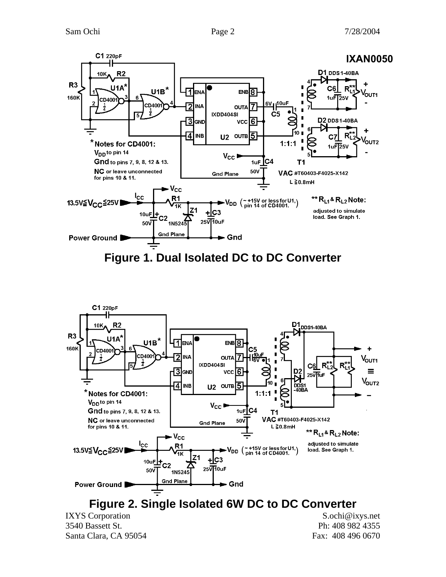



**Figure 2. Single Isolated 6W DC to DC Converter** 

IXYS Corporation S.ochi@ixys.net 3540 Bassett St. Ph: 408 982 4355 Santa Clara, CA 95054 Fax: 408 496 0670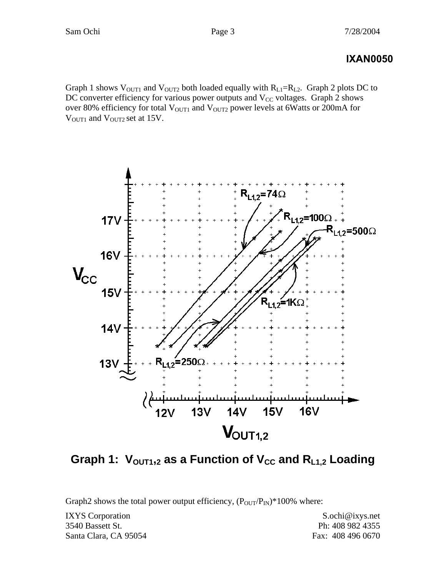## **IXAN0050**

Graph 1 shows  $V_{\text{OUT1}}$  and  $V_{\text{OUT2}}$  both loaded equally with  $R_{L1}=R_{L2}$ . Graph 2 plots DC to DC converter efficiency for various power outputs and  $V_{CC}$  voltages. Graph 2 shows over 80% efficiency for total  $V_{\text{OUT1}}$  and  $V_{\text{OUT2}}$  power levels at 6Watts or 200mA for V<sub>OUT1</sub> and V<sub>OUT2</sub> set at 15V.



Graph 1:  $V_{\text{OUT1,2}}$  as a Function of V<sub>CC</sub> and R<sub>L1,2</sub> Loading

Graph2 shows the total power output efficiency,  $(P_{\text{OUT}}/P_{\text{IN}})^*100\%$  where:

IXYS Corporation S.ochi@ixys.net 3540 Bassett St. Ph: 408 982 4355 Santa Clara, CA 95054 Fax: 408 496 0670